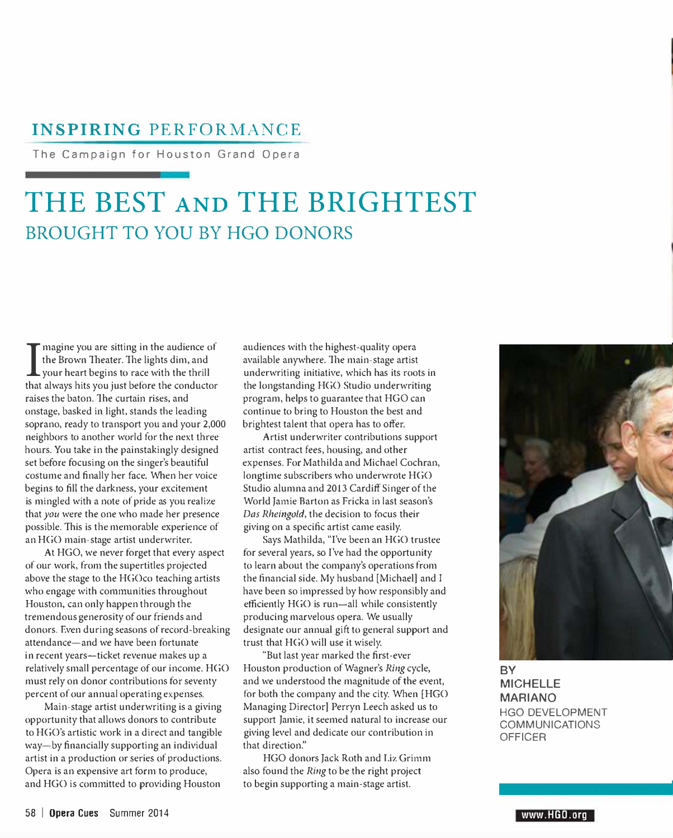### **INSPIRING PERFORMANCE**

The Campaign for Houston Grand Opera

# **THE BEST AND THE BRIGHTEST BROUGHT TO YOU BY HGO DONORS**

I magine you are sitting in the audience of the Brown Theater. The lights dim, and your heart begins to race with the thrill magine you are sitting in the audience of the Brown Theater. The lights dim, and that always hits you just before the conductor raises the baton. The curtain rises, and onstage, basked in light, stands the leading soprano, ready to transport you and your 2,000 neighbors to another world for the next three hours. You take in the painstakingly designed set before focusing on the singer's beautiful costume and finally her face. When her voice begins to fill the darkness, your excitement is mingled with a note of pride as you realize that *you* were the one who made her presence possible. This is the memorable experience of an HGO main-stage artist underwriter.

At HGO, we never forget that every aspect of our work, from the supertitles projected above the stage to the HGOco teaching artists who engage with communities throughout Houston, can only happen through the tremendous generosity of our friends and donors. Even during seasons of record-breaking attendance-and we have been fortunate in recent years-ticket revenue makes up a relatively small percentage of our income. HGO must rely on donor contributions for seventy percent of our annual operating expenses.

Main-stage artist underwriting is a giving opportunity that allows donors to contribute to HGO's artistic work in a direct and tangible way-by financially supporting an individual artist in a production or series of productions. Opera is an expensive art form to produce, and HGO is committed to providing Houston

audiences with the highest-quality opera available anywhere. The main-stage artist underwriting initiative, which has its roots in the longstanding HGO Studio underwriting program, helps to guarantee that HGO can continue to bring to Houston the best and brightest talent that opera has to offer.

Artist underwriter contributions support artist contract fees, housing, and other expenses. For Mathilda and Michael Cochran, longtime subscribers who underwrote HGO Studio alumna and 2013 Cardiff Singer of the World Jamie Barton as Fricka in last season's *Das Rheingold,* the decision to focus their giving on a specific artist came easily.

Says Mathilda, "I've been an HGO trustee for several years, so I've had the opportunity to learn about the company's operations from the financial side. My husband [Michael] and I have been so impressed by how responsibly and efficiently HGO is run-all while consistently producing marvelous opera. We usually designate our annual gift to general support and trust that HGO will use it wisely.

"But last year marked the first-ever Houston production of Wagner's *Ring* cycle, and we understood the magnitude of the event, for both the company and the city. When [HGO Managing Director] Perryn Leech asked us to support Jamie, it seemed natural to increase our giving level and dedicate our contribution in that direction."

HGO donors Jack Roth and Liz Grimm also found the *Ring* to be the right project to begin supporting a main-stage artist.



**BY MICHELLE MARIANO**  HGO DEVELOPMENT COMMUNICATIONS OFFICER

**www.HGO.org**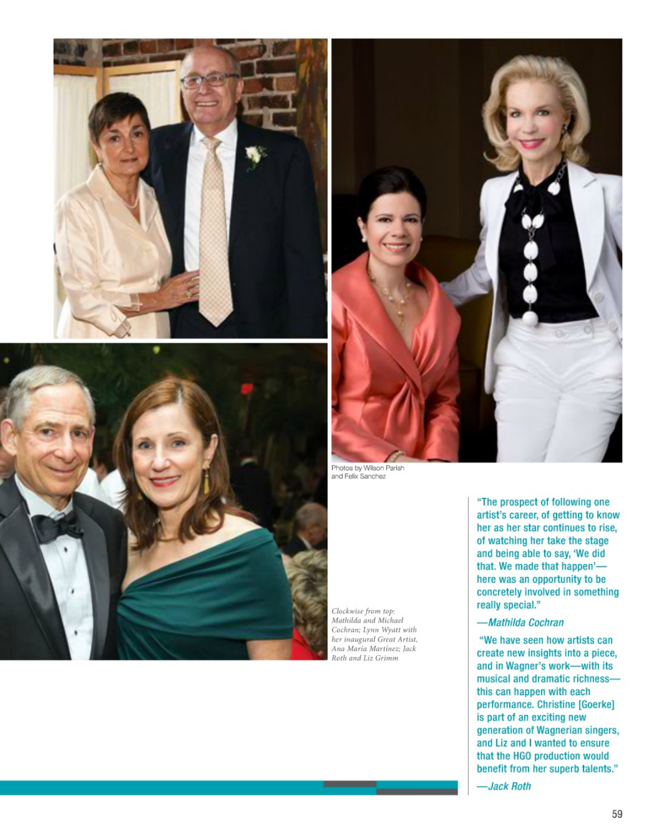





Photos by Wilson Parish<br>and Felix Sanchez

Clockwise from top:<br>Mathilda and Michael Cochran; Lynn Wyatt with her inaugural Great Artist, Ana María Martínez; Jack Roth and Liz Grimm

"The prospect of following one artist's career, of getting to know her as her star continues to rise. of watching her take the stage and being able to say, 'We did that. We made that happen'here was an opportunity to be concretely involved in something really special."

#### -Mathilda Cochran

"We have seen how artists can create new insights into a piece, and in Wagner's work-with its musical and dramatic richnessthis can happen with each performance. Christine [Goerke] is part of an exciting new generation of Wagnerian singers, and Liz and I wanted to ensure that the HGO production would benefit from her superb talents."

-Jack Roth